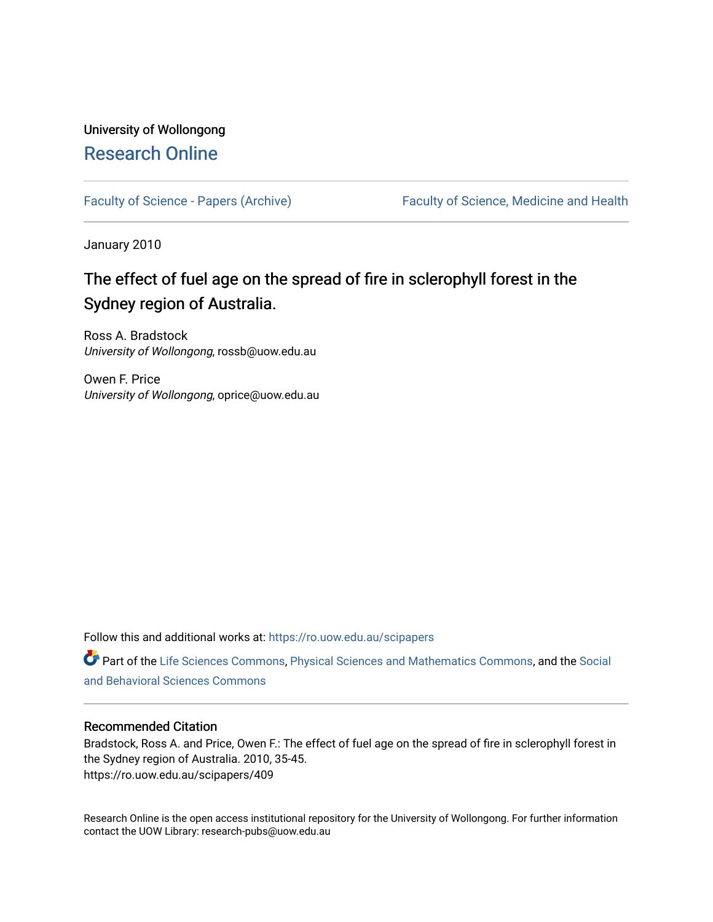# University of Wollongong [Research Online](https://ro.uow.edu.au/)

[Faculty of Science - Papers \(Archive\)](https://ro.uow.edu.au/scipapers) Faculty of Science, Medicine and Health

January 2010

# The effect of fuel age on the spread of fire in sclerophyll forest in the Sydney region of Australia.

Ross A. Bradstock University of Wollongong, rossb@uow.edu.au

Owen F. Price University of Wollongong, oprice@uow.edu.au

Follow this and additional works at: [https://ro.uow.edu.au/scipapers](https://ro.uow.edu.au/scipapers?utm_source=ro.uow.edu.au%2Fscipapers%2F409&utm_medium=PDF&utm_campaign=PDFCoverPages)

Part of the [Life Sciences Commons,](http://network.bepress.com/hgg/discipline/1016?utm_source=ro.uow.edu.au%2Fscipapers%2F409&utm_medium=PDF&utm_campaign=PDFCoverPages) [Physical Sciences and Mathematics Commons,](http://network.bepress.com/hgg/discipline/114?utm_source=ro.uow.edu.au%2Fscipapers%2F409&utm_medium=PDF&utm_campaign=PDFCoverPages) and the [Social](http://network.bepress.com/hgg/discipline/316?utm_source=ro.uow.edu.au%2Fscipapers%2F409&utm_medium=PDF&utm_campaign=PDFCoverPages)  [and Behavioral Sciences Commons](http://network.bepress.com/hgg/discipline/316?utm_source=ro.uow.edu.au%2Fscipapers%2F409&utm_medium=PDF&utm_campaign=PDFCoverPages) 

## Recommended Citation

Bradstock, Ross A. and Price, Owen F.: The effect of fuel age on the spread of fire in sclerophyll forest in the Sydney region of Australia. 2010, 35-45. https://ro.uow.edu.au/scipapers/409

Research Online is the open access institutional repository for the University of Wollongong. For further information contact the UOW Library: research-pubs@uow.edu.au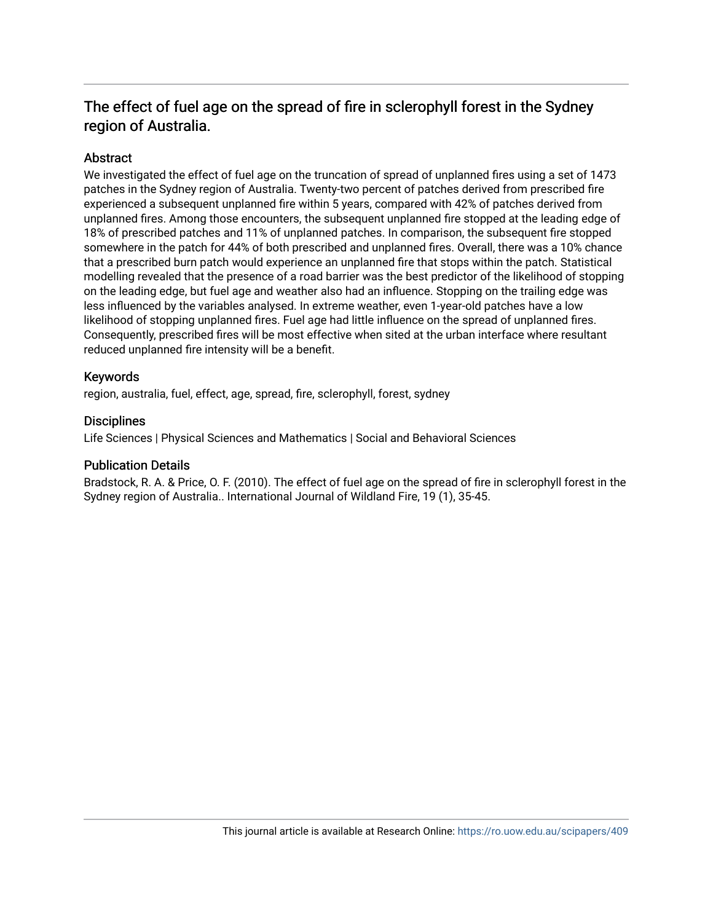# The effect of fuel age on the spread of fire in sclerophyll forest in the Sydney region of Australia.

# Abstract

We investigated the effect of fuel age on the truncation of spread of unplanned fires using a set of 1473 patches in the Sydney region of Australia. Twenty-two percent of patches derived from prescribed fire experienced a subsequent unplanned fire within 5 years, compared with 42% of patches derived from unplanned fires. Among those encounters, the subsequent unplanned fire stopped at the leading edge of 18% of prescribed patches and 11% of unplanned patches. In comparison, the subsequent fire stopped somewhere in the patch for 44% of both prescribed and unplanned fires. Overall, there was a 10% chance that a prescribed burn patch would experience an unplanned fire that stops within the patch. Statistical modelling revealed that the presence of a road barrier was the best predictor of the likelihood of stopping on the leading edge, but fuel age and weather also had an influence. Stopping on the trailing edge was less influenced by the variables analysed. In extreme weather, even 1-year-old patches have a low likelihood of stopping unplanned fires. Fuel age had little influence on the spread of unplanned fires. Consequently, prescribed fires will be most effective when sited at the urban interface where resultant reduced unplanned fire intensity will be a benefit.

# Keywords

region, australia, fuel, effect, age, spread, fire, sclerophyll, forest, sydney

## **Disciplines**

Life Sciences | Physical Sciences and Mathematics | Social and Behavioral Sciences

## Publication Details

Bradstock, R. A. & Price, O. F. (2010). The effect of fuel age on the spread of fire in sclerophyll forest in the Sydney region of Australia.. International Journal of Wildland Fire, 19 (1), 35-45.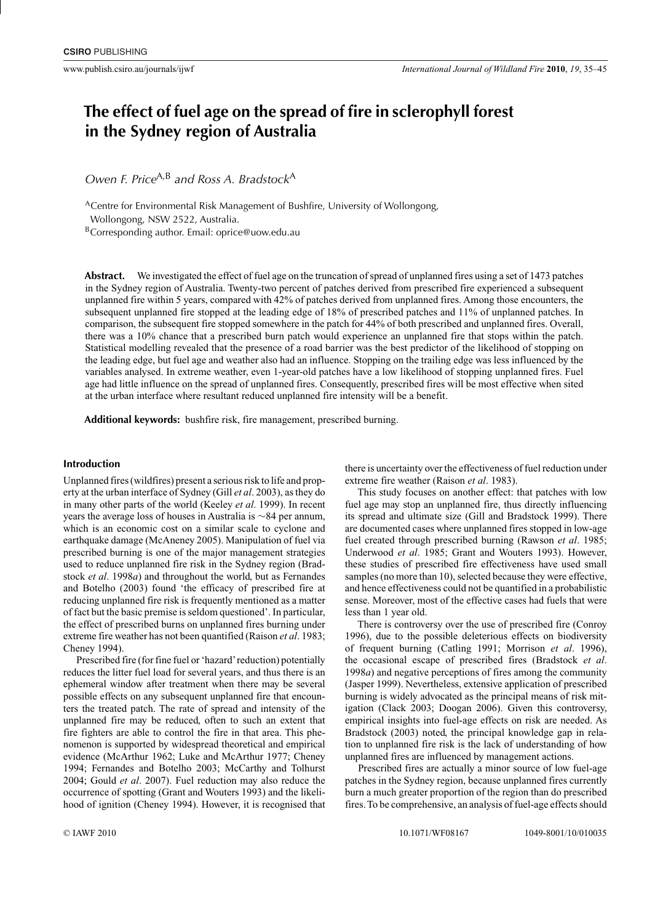# **The effect of fuel age on the spread of fire in sclerophyll forest in the Sydney region of Australia**

*Owen F. Price*<sup>A,B</sup> and Ross A. Bradstock<sup>A</sup>

<sup>A</sup>Centre for Environmental Risk Management of Bushfire, University of Wollongong, Wollongong, NSW 2522, Australia.

BCorresponding author. Email: [oprice@uow.edu.au](mailto:oprice@uow.edu.au)

**Abstract.** We investigated the effect of fuel age on the truncation of spread of unplanned fires using a set of 1473 patches in the Sydney region of Australia. Twenty-two percent of patches derived from prescribed fire experienced a subsequent unplanned fire within 5 years, compared with 42% of patches derived from unplanned fires. Among those encounters, the subsequent unplanned fire stopped at the leading edge of 18% of prescribed patches and 11% of unplanned patches. In comparison, the subsequent fire stopped somewhere in the patch for 44% of both prescribed and unplanned fires. Overall, there was a 10% chance that a prescribed burn patch would experience an unplanned fire that stops within the patch. Statistical modelling revealed that the presence of a road barrier was the best predictor of the likelihood of stopping on the leading edge, but fuel age and weather also had an influence. Stopping on the trailing edge was less influenced by the variables analysed. In extreme weather, even 1-year-old patches have a low likelihood of stopping unplanned fires. Fuel age had little influence on the spread of unplanned fires. Consequently, prescribed fires will be most effective when sited at the urban interface where resultant reduced unplanned fire intensity will be a benefit.

**Additional keywords:** bushfire risk, fire management, prescribed burning.

#### **Introduction**

Unplanned fires (wildfires) present a serious risk to life and property at the urban interface of Sydney (Gill *et al*. 2003), as they do in many other parts of the world (Keeley *et al*. 1999). In recent years the average loss of houses in Australia is ∼84 per annum, which is an economic cost on a similar scale to cyclone and earthquake damage (McAneney 2005). Manipulation of fuel via prescribed burning is one of the major management strategies used to reduce unplanned fire risk in the Sydney region (Bradstock *et al*. 1998*a*) and throughout the world, but as Fernandes and Botelho (2003) found 'the efficacy of prescribed fire at reducing unplanned fire risk is frequently mentioned as a matter of fact but the basic premise is seldom questioned'. In particular, the effect of prescribed burns on unplanned fires burning under extreme fire weather has not been quantified (Raison *et al*. 1983; Cheney 1994).

Prescribed fire (for fine fuel or 'hazard'reduction) potentially reduces the litter fuel load for several years, and thus there is an ephemeral window after treatment when there may be several possible effects on any subsequent unplanned fire that encounters the treated patch. The rate of spread and intensity of the unplanned fire may be reduced, often to such an extent that fire fighters are able to control the fire in that area. This phenomenon is supported by widespread theoretical and empirical evidence (McArthur 1962; Luke and McArthur 1977; Cheney 1994; Fernandes and Botelho 2003; McCarthy and Tolhurst 2004; Gould *et al*. 2007). Fuel reduction may also reduce the occurrence of spotting (Grant and Wouters 1993) and the likelihood of ignition (Cheney 1994). However, it is recognised that

there is uncertainty over the effectiveness of fuel reduction under extreme fire weather (Raison *et al*. 1983).

This study focuses on another effect: that patches with low fuel age may stop an unplanned fire, thus directly influencing its spread and ultimate size (Gill and Bradstock 1999). There are documented cases where unplanned fires stopped in low-age fuel created through prescribed burning (Rawson *et al*. 1985; Underwood *et al*. 1985; Grant and Wouters 1993). However, these studies of prescribed fire effectiveness have used small samples (no more than 10), selected because they were effective, and hence effectiveness could not be quantified in a probabilistic sense. Moreover, most of the effective cases had fuels that were less than 1 year old.

There is controversy over the use of prescribed fire (Conroy 1996), due to the possible deleterious effects on biodiversity of frequent burning (Catling 1991; Morrison *et al*. 1996), the occasional escape of prescribed fires (Bradstock *et al*. 1998*a*) and negative perceptions of fires among the community (Jasper 1999). Nevertheless, extensive application of prescribed burning is widely advocated as the principal means of risk mitigation (Clack 2003; Doogan 2006). Given this controversy, empirical insights into fuel-age effects on risk are needed. As Bradstock (2003) noted, the principal knowledge gap in relation to unplanned fire risk is the lack of understanding of how unplanned fires are influenced by management actions.

Prescribed fires are actually a minor source of low fuel-age patches in the Sydney region, because unplanned fires currently burn a much greater proportion of the region than do prescribed fires.To be comprehensive, an analysis of fuel-age effects should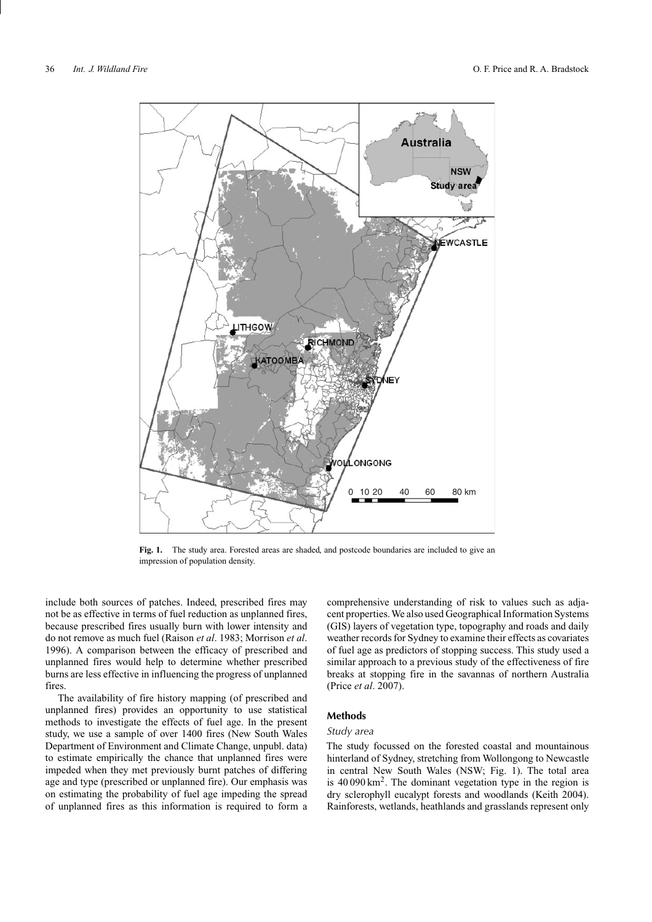

**Fig. 1.** The study area. Forested areas are shaded, and postcode boundaries are included to give an impression of population density.

include both sources of patches. Indeed, prescribed fires may not be as effective in terms of fuel reduction as unplanned fires, because prescribed fires usually burn with lower intensity and do not remove as much fuel (Raison *et al*. 1983; Morrison *et al*. 1996). A comparison between the efficacy of prescribed and unplanned fires would help to determine whether prescribed burns are less effective in influencing the progress of unplanned fires.

The availability of fire history mapping (of prescribed and unplanned fires) provides an opportunity to use statistical methods to investigate the effects of fuel age. In the present study, we use a sample of over 1400 fires (New South Wales Department of Environment and Climate Change, unpubl. data) to estimate empirically the chance that unplanned fires were impeded when they met previously burnt patches of differing age and type (prescribed or unplanned fire). Our emphasis was on estimating the probability of fuel age impeding the spread of unplanned fires as this information is required to form a comprehensive understanding of risk to values such as adjacent properties. We also used Geographical Information Systems (GIS) layers of vegetation type, topography and roads and daily weather records for Sydney to examine their effects as covariates of fuel age as predictors of stopping success. This study used a similar approach to a previous study of the effectiveness of fire breaks at stopping fire in the savannas of northern Australia (Price *et al*. 2007).

## **Methods**

## *Study area*

The study focussed on the forested coastal and mountainous hinterland of Sydney, stretching from Wollongong to Newcastle in central New South Wales (NSW; Fig. 1). The total area is  $40090 \text{ km}^2$ . The dominant vegetation type in the region is dry sclerophyll eucalypt forests and woodlands (Keith 2004). Rainforests, wetlands, heathlands and grasslands represent only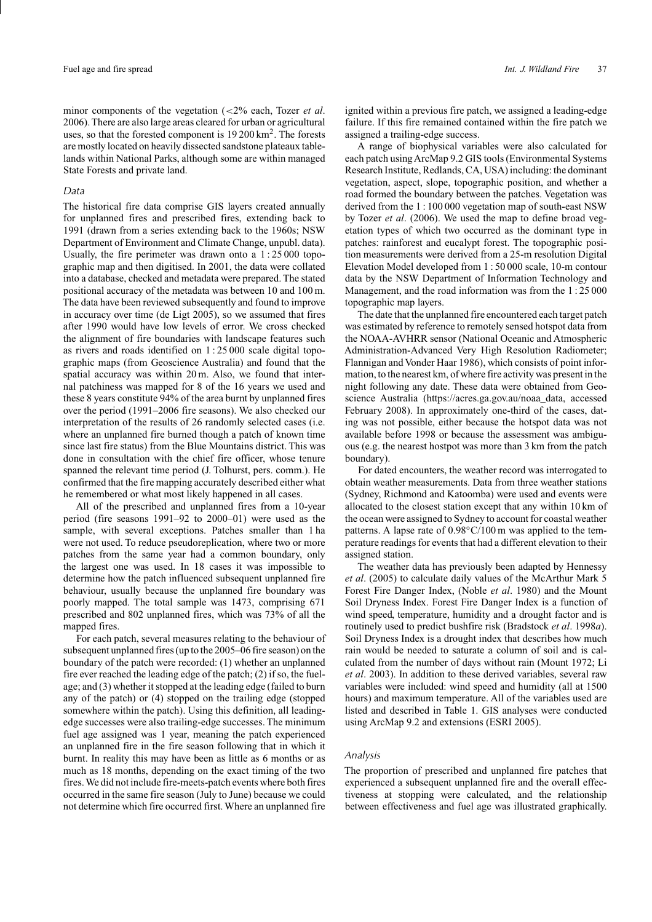minor components of the vegetation (*<*2% each, Tozer *et al*. 2006).There are also large areas cleared for urban or agricultural uses, so that the forested component is 19 200 km<sup>2</sup>. The forests are mostly located on heavily dissected sandstone plateaux tablelands within National Parks, although some are within managed State Forests and private land.

### *Data*

The historical fire data comprise GIS layers created annually for unplanned fires and prescribed fires, extending back to 1991 (drawn from a series extending back to the 1960s; NSW Department of Environment and Climate Change, unpubl. data). Usually, the fire perimeter was drawn onto a 1 : 25 000 topographic map and then digitised. In 2001, the data were collated into a database, checked and metadata were prepared. The stated positional accuracy of the metadata was between 10 and 100 m. The data have been reviewed subsequently and found to improve in accuracy over time (de Ligt 2005), so we assumed that fires after 1990 would have low levels of error. We cross checked the alignment of fire boundaries with landscape features such as rivers and roads identified on 1 : 25 000 scale digital topographic maps (from Geoscience Australia) and found that the spatial accuracy was within 20 m. Also, we found that internal patchiness was mapped for 8 of the 16 years we used and these 8 years constitute 94% of the area burnt by unplanned fires over the period (1991–2006 fire seasons). We also checked our interpretation of the results of 26 randomly selected cases (i.e. where an unplanned fire burned though a patch of known time since last fire status) from the Blue Mountains district. This was done in consultation with the chief fire officer, whose tenure spanned the relevant time period (J. Tolhurst, pers. comm.). He confirmed that the fire mapping accurately described either what he remembered or what most likely happened in all cases.

All of the prescribed and unplanned fires from a 10-year period (fire seasons 1991–92 to 2000–01) were used as the sample, with several exceptions. Patches smaller than 1 ha were not used. To reduce pseudoreplication, where two or more patches from the same year had a common boundary, only the largest one was used. In 18 cases it was impossible to determine how the patch influenced subsequent unplanned fire behaviour, usually because the unplanned fire boundary was poorly mapped. The total sample was 1473, comprising 671 prescribed and 802 unplanned fires, which was 73% of all the mapped fires.

For each patch, several measures relating to the behaviour of subsequent unplanned fires (up to the 2005–06 fire season) on the boundary of the patch were recorded: (1) whether an unplanned fire ever reached the leading edge of the patch; (2) if so, the fuelage; and (3) whether it stopped at the leading edge (failed to burn any of the patch) or (4) stopped on the trailing edge (stopped somewhere within the patch). Using this definition, all leadingedge successes were also trailing-edge successes. The minimum fuel age assigned was 1 year, meaning the patch experienced an unplanned fire in the fire season following that in which it burnt. In reality this may have been as little as 6 months or as much as 18 months, depending on the exact timing of the two fires. We did not include fire-meets-patch events where both fires occurred in the same fire season (July to June) because we could not determine which fire occurred first. Where an unplanned fire

ignited within a previous fire patch, we assigned a leading-edge failure. If this fire remained contained within the fire patch we assigned a trailing-edge success.

A range of biophysical variables were also calculated for each patch using ArcMap 9.2 GIS tools (Environmental Systems Research Institute, Redlands, CA, USA) including: the dominant vegetation, aspect, slope, topographic position, and whether a road formed the boundary between the patches. Vegetation was derived from the 1 : 100 000 vegetation map of south-east NSW by Tozer *et al*. (2006). We used the map to define broad vegetation types of which two occurred as the dominant type in patches: rainforest and eucalypt forest. The topographic position measurements were derived from a 25-m resolution Digital Elevation Model developed from 1 : 50 000 scale, 10-m contour data by the NSW Department of Information Technology and Management, and the road information was from the 1 : 25 000 topographic map layers.

The date that the unplanned fire encountered each target patch was estimated by reference to remotely sensed hotspot data from the NOAA-AVHRR sensor (National Oceanic and Atmospheric Administration-Advanced Very High Resolution Radiometer; Flannigan and Vonder Haar 1986), which consists of point information, to the nearest km, of where fire activity was present in the night following any date. These data were obtained from Geoscience Australia [\(https://acres.ga.gov.au/noaa\\_data,](https://acres.ga.gov.au/noaa_data) accessed February 2008). In approximately one-third of the cases, dating was not possible, either because the hotspot data was not available before 1998 or because the assessment was ambiguous (e.g. the nearest hostpot was more than 3 km from the patch boundary).

For dated encounters, the weather record was interrogated to obtain weather measurements. Data from three weather stations (Sydney, Richmond and Katoomba) were used and events were allocated to the closest station except that any within 10 km of the ocean were assigned to Sydney to account for coastal weather patterns. A lapse rate of  $0.98^{\circ}$ C/100 m was applied to the temperature readings for events that had a different elevation to their assigned station.

The weather data has previously been adapted by Hennessy *et al*. (2005) to calculate daily values of the McArthur Mark 5 Forest Fire Danger Index, (Noble *et al*. 1980) and the Mount Soil Dryness Index. Forest Fire Danger Index is a function of wind speed, temperature, humidity and a drought factor and is routinely used to predict bushfire risk (Bradstock *et al*. 1998*a*). Soil Dryness Index is a drought index that describes how much rain would be needed to saturate a column of soil and is calculated from the number of days without rain (Mount 1972; Li *et al*. 2003). In addition to these derived variables, several raw variables were included: wind speed and humidity (all at 1500 hours) and maximum temperature. All of the variables used are listed and described in Table 1. GIS analyses were conducted using ArcMap 9.2 and extensions (ESRI 2005).

### *Analysis*

The proportion of prescribed and unplanned fire patches that experienced a subsequent unplanned fire and the overall effectiveness at stopping were calculated, and the relationship between effectiveness and fuel age was illustrated graphically.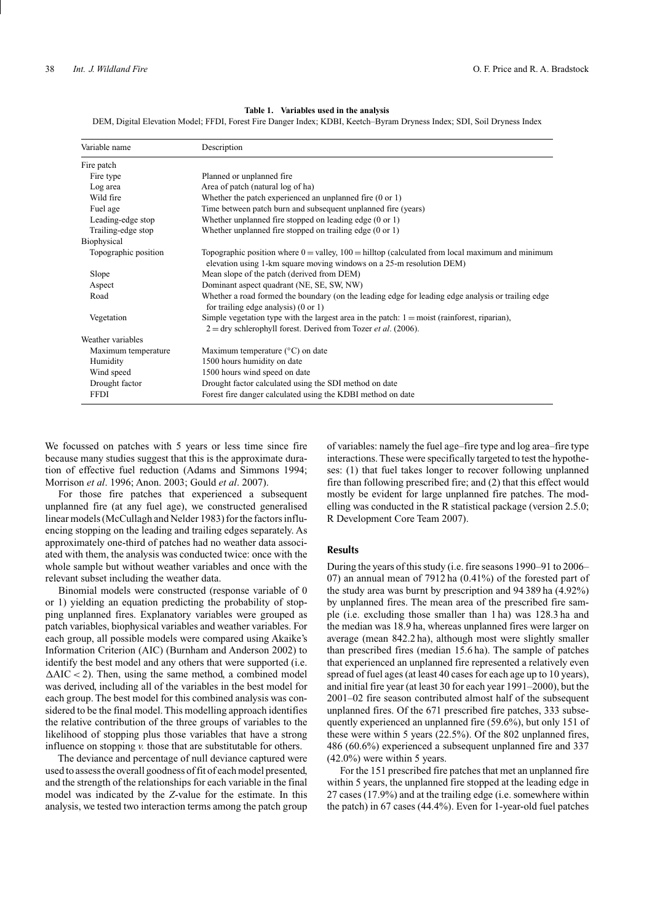#### **Table 1. Variables used in the analysis**

DEM, Digital Elevation Model; FFDI, Forest Fire Danger Index; KDBI, Keetch–Byram Dryness Index; SDI, Soil Dryness Index

| Variable name        | Description                                                                                                                                                                 |
|----------------------|-----------------------------------------------------------------------------------------------------------------------------------------------------------------------------|
| Fire patch           |                                                                                                                                                                             |
| Fire type            | Planned or unplanned fire                                                                                                                                                   |
| Log area             | Area of patch (natural log of ha)                                                                                                                                           |
| Wild fire            | Whether the patch experienced an unplanned fire $(0 \text{ or } 1)$                                                                                                         |
| Fuel age             | Time between patch burn and subsequent unplanned fire (years)                                                                                                               |
| Leading-edge stop    | Whether unplanned fire stopped on leading edge $(0 \text{ or } 1)$                                                                                                          |
| Trailing-edge stop   | Whether unplanned fire stopped on trailing edge $(0 \text{ or } 1)$                                                                                                         |
| Biophysical          |                                                                                                                                                                             |
| Topographic position | Topographic position where $0 =$ valley, $100 =$ hilltop (calculated from local maximum and minimum<br>elevation using 1-km square moving windows on a 25-m resolution DEM) |
| Slope                | Mean slope of the patch (derived from DEM)                                                                                                                                  |
| Aspect               | Dominant aspect quadrant (NE, SE, SW, NW)                                                                                                                                   |
| Road                 | Whether a road formed the boundary (on the leading edge for leading edge analysis or trailing edge<br>for trailing edge analysis) $(0 \text{ or } 1)$                       |
| Vegetation           | Simple vegetation type with the largest area in the patch: $1 = \text{moist}$ (rainforest, riparian),                                                                       |
|                      | $2 =$ dry schlerophyll forest. Derived from Tozer <i>et al.</i> (2006).                                                                                                     |
| Weather variables    |                                                                                                                                                                             |
| Maximum temperature  | Maximum temperature $(^{\circ}C)$ on date                                                                                                                                   |
| Humidity             | 1500 hours humidity on date                                                                                                                                                 |
| Wind speed           | 1500 hours wind speed on date                                                                                                                                               |
| Drought factor       | Drought factor calculated using the SDI method on date                                                                                                                      |
| <b>FFDI</b>          | Forest fire danger calculated using the KDBI method on date                                                                                                                 |

We focussed on patches with 5 years or less time since fire because many studies suggest that this is the approximate duration of effective fuel reduction (Adams and Simmons 1994; Morrison *et al*. 1996; Anon. 2003; Gould *et al*. 2007).

For those fire patches that experienced a subsequent unplanned fire (at any fuel age), we constructed generalised linear models (McCullagh and Nelder 1983) for the factors influencing stopping on the leading and trailing edges separately. As approximately one-third of patches had no weather data associated with them, the analysis was conducted twice: once with the whole sample but without weather variables and once with the relevant subset including the weather data.

Binomial models were constructed (response variable of 0 or 1) yielding an equation predicting the probability of stopping unplanned fires. Explanatory variables were grouped as patch variables, biophysical variables and weather variables. For each group, all possible models were compared using Akaike's Information Criterion (AIC) (Burnham and Anderson 2002) to identify the best model and any others that were supported (i.e.  $\Delta AIC < 2$ ). Then, using the same method, a combined model was derived, including all of the variables in the best model for each group. The best model for this combined analysis was considered to be the final model. This modelling approach identifies the relative contribution of the three groups of variables to the likelihood of stopping plus those variables that have a strong influence on stopping *v.* those that are substitutable for others.

The deviance and percentage of null deviance captured were used to assess the overall goodness of fit of each model presented, and the strength of the relationships for each variable in the final model was indicated by the *Z*-value for the estimate. In this analysis, we tested two interaction terms among the patch group of variables: namely the fuel age–fire type and log area–fire type interactions. These were specifically targeted to test the hypotheses: (1) that fuel takes longer to recover following unplanned fire than following prescribed fire; and (2) that this effect would mostly be evident for large unplanned fire patches. The modelling was conducted in the R statistical package (version 2.5.0; R Development Core Team 2007).

### **Results**

During the years of this study (i.e. fire seasons 1990–91 to 2006– 07) an annual mean of 7912 ha (0.41%) of the forested part of the study area was burnt by prescription and 94 389 ha (4.92%) by unplanned fires. The mean area of the prescribed fire sample (i.e. excluding those smaller than 1 ha) was 128.3 ha and the median was 18.9 ha, whereas unplanned fires were larger on average (mean 842.2 ha), although most were slightly smaller than prescribed fires (median 15.6 ha). The sample of patches that experienced an unplanned fire represented a relatively even spread of fuel ages (at least 40 cases for each age up to 10 years), and initial fire year (at least 30 for each year 1991–2000), but the 2001–02 fire season contributed almost half of the subsequent unplanned fires. Of the 671 prescribed fire patches, 333 subsequently experienced an unplanned fire (59.6%), but only 151 of these were within 5 years (22.5%). Of the 802 unplanned fires, 486 (60.6%) experienced a subsequent unplanned fire and 337 (42.0%) were within 5 years.

For the 151 prescribed fire patches that met an unplanned fire within 5 years, the unplanned fire stopped at the leading edge in 27 cases (17.9%) and at the trailing edge (i.e. somewhere within the patch) in 67 cases (44.4%). Even for 1-year-old fuel patches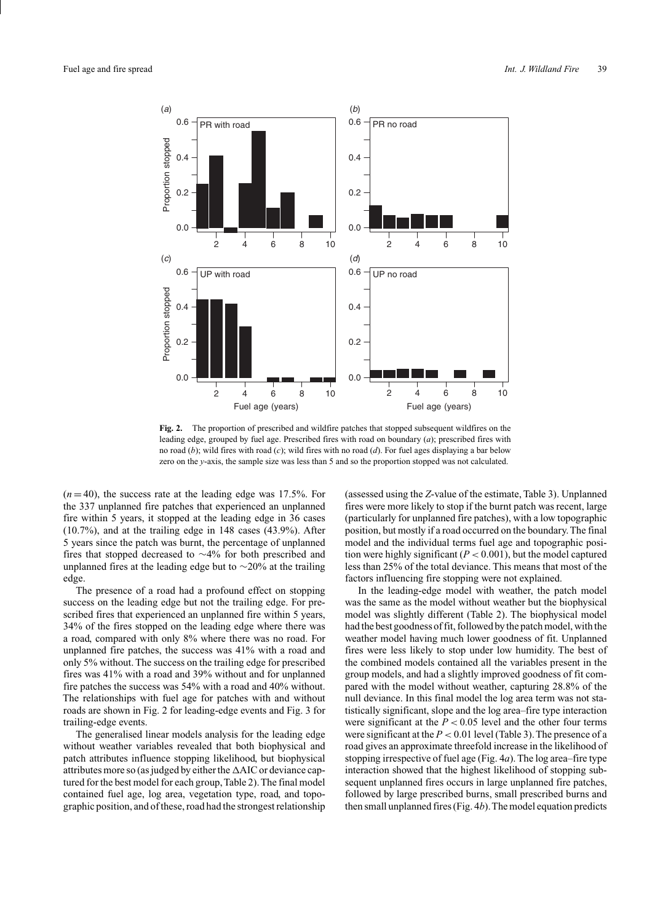

**Fig. 2.** The proportion of prescribed and wildfire patches that stopped subsequent wildfires on the leading edge, grouped by fuel age. Prescribed fires with road on boundary (*a*); prescribed fires with no road (*b*); wild fires with road (*c*); wild fires with no road (*d*). For fuel ages displaying a bar below zero on the *y*-axis, the sample size was less than 5 and so the proportion stopped was not calculated.

 $(n=40)$ , the success rate at the leading edge was 17.5%. For the 337 unplanned fire patches that experienced an unplanned fire within 5 years, it stopped at the leading edge in 36 cases (10.7%), and at the trailing edge in 148 cases (43.9%). After 5 years since the patch was burnt, the percentage of unplanned fires that stopped decreased to ∼4% for both prescribed and unplanned fires at the leading edge but to ∼20% at the trailing edge.

The presence of a road had a profound effect on stopping success on the leading edge but not the trailing edge. For prescribed fires that experienced an unplanned fire within 5 years, 34% of the fires stopped on the leading edge where there was a road, compared with only 8% where there was no road. For unplanned fire patches, the success was 41% with a road and only 5% without. The success on the trailing edge for prescribed fires was 41% with a road and 39% without and for unplanned fire patches the success was 54% with a road and 40% without. The relationships with fuel age for patches with and without roads are shown in Fig. 2 for leading-edge events and Fig. 3 for trailing-edge events.

The generalised linear models analysis for the leading edge without weather variables revealed that both biophysical and patch attributes influence stopping likelihood, but biophysical attributes more so (as judged by either the  $\triangle AIC$  or deviance captured for the best model for each group,Table 2).The final model contained fuel age, log area, vegetation type, road, and topographic position, and of these, road had the strongest relationship (assessed using the *Z*-value of the estimate, Table 3). Unplanned fires were more likely to stop if the burnt patch was recent, large (particularly for unplanned fire patches), with a low topographic position, but mostly if a road occurred on the boundary. The final model and the individual terms fuel age and topographic position were highly significant  $(P < 0.001)$ , but the model captured less than 25% of the total deviance. This means that most of the factors influencing fire stopping were not explained.

In the leading-edge model with weather, the patch model was the same as the model without weather but the biophysical model was slightly different (Table 2). The biophysical model had the best goodness of fit, followed by the patch model, with the weather model having much lower goodness of fit. Unplanned fires were less likely to stop under low humidity. The best of the combined models contained all the variables present in the group models, and had a slightly improved goodness of fit compared with the model without weather, capturing 28.8% of the null deviance. In this final model the log area term was not statistically significant, slope and the log area–fire type interaction were significant at the  $P < 0.05$  level and the other four terms were significant at the *P <* 0.01 level (Table 3). The presence of a road gives an approximate threefold increase in the likelihood of stopping irrespective of fuel age (Fig. 4*a*). The log area–fire type interaction showed that the highest likelihood of stopping subsequent unplanned fires occurs in large unplanned fire patches, followed by large prescribed burns, small prescribed burns and then small unplanned fires (Fig. 4*b*).The model equation predicts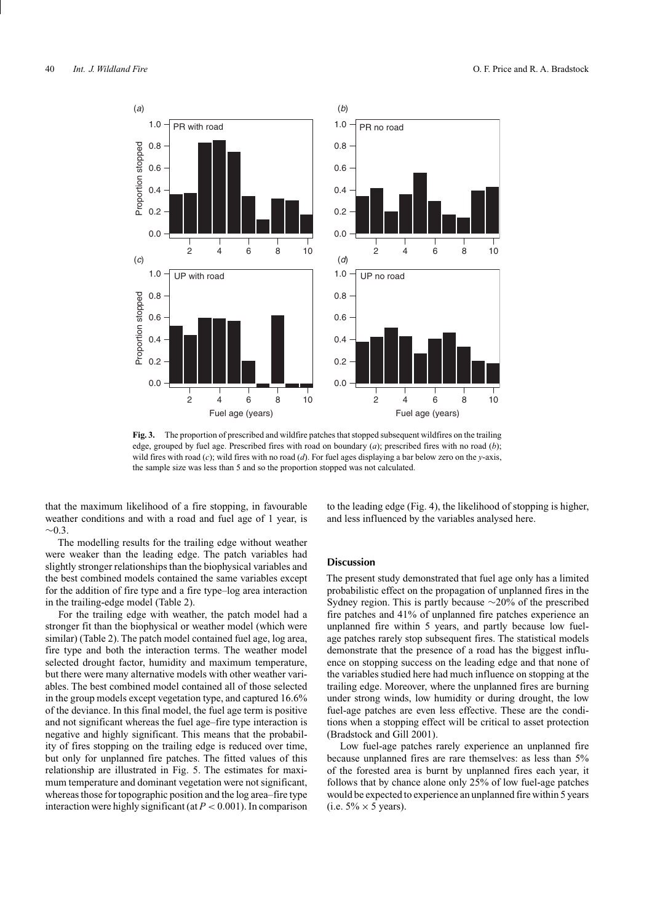

**Fig. 3.** The proportion of prescribed and wildfire patches that stopped subsequent wildfires on the trailing edge, grouped by fuel age. Prescribed fires with road on boundary (*a*); prescribed fires with no road (*b*); wild fires with road (*c*); wild fires with no road (*d*). For fuel ages displaying a bar below zero on the *y*-axis, the sample size was less than 5 and so the proportion stopped was not calculated.

that the maximum likelihood of a fire stopping, in favourable weather conditions and with a road and fuel age of 1 year, is  $~\sim 0.3$ 

The modelling results for the trailing edge without weather were weaker than the leading edge. The patch variables had slightly stronger relationships than the biophysical variables and the best combined models contained the same variables except for the addition of fire type and a fire type–log area interaction in the trailing-edge model (Table 2).

For the trailing edge with weather, the patch model had a stronger fit than the biophysical or weather model (which were similar) (Table 2). The patch model contained fuel age, log area, fire type and both the interaction terms. The weather model selected drought factor, humidity and maximum temperature, but there were many alternative models with other weather variables. The best combined model contained all of those selected in the group models except vegetation type, and captured 16.6% of the deviance. In this final model, the fuel age term is positive and not significant whereas the fuel age–fire type interaction is negative and highly significant. This means that the probability of fires stopping on the trailing edge is reduced over time, but only for unplanned fire patches. The fitted values of this relationship are illustrated in Fig. 5. The estimates for maximum temperature and dominant vegetation were not significant, whereas those for topographic position and the log area–fire type interaction were highly significant (at *P <* 0.001). In comparison to the leading edge (Fig. 4), the likelihood of stopping is higher, and less influenced by the variables analysed here.

### **Discussion**

The present study demonstrated that fuel age only has a limited probabilistic effect on the propagation of unplanned fires in the Sydney region. This is partly because ∼20% of the prescribed fire patches and 41% of unplanned fire patches experience an unplanned fire within 5 years, and partly because low fuelage patches rarely stop subsequent fires. The statistical models demonstrate that the presence of a road has the biggest influence on stopping success on the leading edge and that none of the variables studied here had much influence on stopping at the trailing edge. Moreover, where the unplanned fires are burning under strong winds, low humidity or during drought, the low fuel-age patches are even less effective. These are the conditions when a stopping effect will be critical to asset protection (Bradstock and Gill 2001).

Low fuel-age patches rarely experience an unplanned fire because unplanned fires are rare themselves: as less than 5% of the forested area is burnt by unplanned fires each year, it follows that by chance alone only 25% of low fuel-age patches would be expected to experience an unplanned fire within 5 years (i.e.  $5\% \times 5$  years).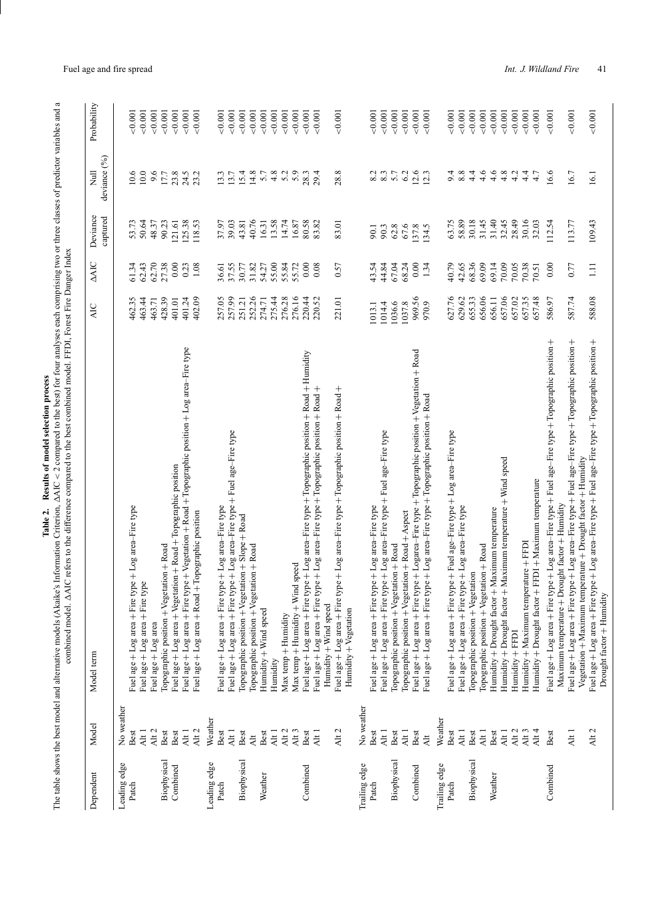| ¢                |   |
|------------------|---|
| ŋ<br>nroces<br>I | ¢ |
|                  |   |
| b                |   |
| ٠                |   |
| i                |   |
|                  |   |
|                  |   |
| l                |   |
| j                |   |
| ١                |   |
| d                |   |
| י<br>י<br>ì      |   |
| ١                |   |
| mod.             |   |
|                  |   |
| ;<br>c           | ¢ |
| ţ<br>١           |   |
| ï<br>ŗ           |   |
| j<br>r           |   |
|                  |   |
|                  |   |
|                  |   |
| j<br>t           |   |
|                  |   |
| ı                |   |
|                  |   |
| י<br>ו           |   |
|                  |   |

The table shows the best model and alternative models (Akaike's Information Criterion, AIC *<* $<$  2 compared to the best) for four analyses each comprising two or three classes of predictor variables and a combined model. AIC refers to the difference compared to the best combined model. FFDI, Forest Fire Danger Index

| Dependent             | Model              | Model term                                                                                                                                                                           | AIC             | <b>AAIC</b>  | Deviance       | $\overline{z}$ | Probability    |
|-----------------------|--------------------|--------------------------------------------------------------------------------------------------------------------------------------------------------------------------------------|-----------------|--------------|----------------|----------------|----------------|
|                       |                    |                                                                                                                                                                                      |                 |              | captured       | deviance (%)   |                |
| Leading edge<br>Patch | No weather<br>Best | Fuel age + Log area + Fire type + Log area-Fire type                                                                                                                                 | 462.35          | 61.34        | 53.73          | 10.6           | ${}_{0.001}$   |
|                       | Alt <sub>1</sub>   | Fuel age + Log area + Fire type                                                                                                                                                      | 463.44          | 62.43        | 50.64          | 10.0           | 0.001          |
|                       | Alt <sub>2</sub>   | Fuel age + Log area                                                                                                                                                                  | 463.71          | 62.70        | 48.37          | 9.6            | 0.001          |
| Biophysical           | Best               | Topographic position + Vegetation + Road                                                                                                                                             | 428.39          | 27.38        | 90.23          | 17.7           | 0.001          |
| Combined              | Best               | Fuel age + Log area + Vegetation + Road + Topographic position                                                                                                                       | 401.01          | 0.00         | 121.61         | 23.8           | 0.001          |
|                       | Alt <sub>1</sub>   | Fuel age + Log area + Fire type + Vegetation + Road + Topographic position + Log area-Fire type                                                                                      | 401.24          | 0.23         | 125.38         | 24.5           | 0.001          |
|                       | Alt <sub>2</sub>   | Fuel age + Log area + Road + Topographic position                                                                                                                                    | 402.09          | 1.08         | 118.53         | 23.2           | 0.001          |
| Leading edge          | Weather            |                                                                                                                                                                                      |                 |              |                |                |                |
| Patch                 | Best               | Fuel age + Log area + Fire type + Log area-Fire type                                                                                                                                 | 257.05          | 36.61        | 37.97          | 13.3           | 0.001          |
|                       | Alt <sub>1</sub>   | Fuel age + Log area + Fire type + Log area-Fire type + Fuel age-Fire type                                                                                                            | 257.99          | 37.55        | 39.03          | 13.7           | 0.001          |
| Biophysical           | Best               | Topographic position + Vegetation + Slope + Road                                                                                                                                     | 251.21          | 30.77        | 43.81          | 15.4           | 0.001          |
|                       | $\overline{A}$     | Topographic position + Vegetation + Road                                                                                                                                             | 252.26          | 31.82        | 40.76          | 14.8           | 0.001          |
| Weather               | Best               | Humidity + Wind speed                                                                                                                                                                | 274.71          | 54.27        | 16.31          | 5.7            | 0.001          |
|                       | Alt <sub>1</sub>   | Humidity                                                                                                                                                                             | 275.44          | 55.00        | 13.58          | 4.8            | 0.001          |
|                       | Alt <sub>2</sub>   | Max temp + Humidity                                                                                                                                                                  | 276.28          | 55.84        | 14.74          | 5.2            | 0.001          |
|                       | Alt <sub>3</sub>   | Max temp + Humidity + Wind speed                                                                                                                                                     | 276.16          | 55.72        | 16.87          | 5.9            | 0.001          |
| Combined              | Best               | Fuel age + Log area + Fire type + Log area-Fire type + Topographic position + Road + Humidity                                                                                        | 220.44          | 0.00         | 80.58          | 28.3           | 0.001          |
|                       | Alt <sub>1</sub>   | Fuel age + Log area + Fire type + Log area-Fire type + Topographic position + Road +                                                                                                 | 220.52          | 0.08         | 83.82          | 29.4           | 0.001          |
|                       |                    | Humidity + Wind speed                                                                                                                                                                |                 |              |                |                |                |
|                       | Alt <sub>2</sub>   | Fuel age + Log area + Fire type + Log area-Fire type + Topographic position + Road +                                                                                                 | 221.01          | 0.57         | 83.01          | 28.8           | 0.001          |
|                       |                    | Humidity + Vegetation                                                                                                                                                                |                 |              |                |                |                |
| Trailing edge         | No weather         |                                                                                                                                                                                      |                 |              |                |                |                |
| Patch                 | Best               | Fuel age + Log area + Fire type + Log area-Fire type                                                                                                                                 | 1013.1          | 43.54        | 90.1           | 8.2            | 0.001          |
|                       | Alt <sub>1</sub>   | Fuel age + Log area + Fire type + Log area-Fire type + Fuel age-Fire type                                                                                                            | 1014.4          | 44.84        | 90.3           | $8.3\,$        | 0.001          |
| Biophysical           | Best               | Topographic position + Vegetation + Road                                                                                                                                             | 1036.6          | 67.04        | 62.8           | 6.2<br>5.7     | 0.001          |
|                       | Alt <sub>1</sub>   | Topographic position + Vegetation + Road + Aspect                                                                                                                                    | 1037.8          | 68.24        | 67.6           |                | 0.001          |
| Combined              | Best<br>Alt        | Fuel age + Log area + Fire type + Logarea-Fire type + Topographic position + Vegetation + Road<br>Fuel age + Log area + Fire type + Log area-Fire type + Topographic position + Road | 969.56<br>970.9 | 0.00<br>1.34 | 137.8<br>134.5 | 12.6<br>12.3   | 0.001<br>0.001 |
| Trailing edge         | Weather            |                                                                                                                                                                                      |                 |              |                |                |                |
| Patch                 | Best               | Fuel age + Log area + Fire type + Fuel age-Fire type + Log area-Fire type                                                                                                            | 627.76          | 40.79        | 63.75          | 9.4            | 0.001          |
|                       | Alt <sub>1</sub>   | Fuel age + Log area + Fire type + Log area-Fire type                                                                                                                                 | 629.62          | 42.65        | 58.89          | 8.8            | 0.001          |
| Biophysical           | Best               | Topographic position + Vegetation                                                                                                                                                    | 655.33          | 68.36        | 30.18          | 4.4            | 0.001          |
|                       | Alt <sub>1</sub>   | Topographic position + Vegetation + Road                                                                                                                                             | 656.06          | 69.09        | 31.45          | 4.6            | 0.001          |
| Weather               | Best               | Humidity + Drought factor + Maximum temperature                                                                                                                                      | 656.11          | 69.14        | 31.40          | 4.6            | 0.001          |
|                       | Alt <sub>1</sub>   | Maximum temperature + Wind speed<br>Humidity + Drought factor +                                                                                                                      | 657.06          | 70.09        | 32.45          | 4.8            | 0.001          |
|                       | Alt <sub>2</sub>   | Humidity + FFDI                                                                                                                                                                      | 657.02          | 70.05        | 28.49          | 4.2            | 0.001          |
|                       | Alt <sub>3</sub>   | Humidity + Maximum temperature + FFDI                                                                                                                                                | 657.35          | 70.38        | 30.16          | $4\cdot$       | 0.001          |
|                       | Alt 4              | Humidity + Drought factor + FFDI + Maximum temperature                                                                                                                               | 657.48          | 70.51        | 32.03          | 4.7            | 0.001          |
| Combined              | Best               | Fuel age + Log area + Fire type + Log area-Fire type + Fuel age-Fire type + Topographic position +<br>Maximum temperature + Drought factor + Humidity                                | 586.97          | 0.00         | 112.54         | 16.6           | 0.001          |
|                       | Alt <sub>1</sub>   | Fuel age + Log area + Fire type + Log area-Fire type + Fuel age-Fire type + Topographic position +                                                                                   | 587.74          | 0.77         | 113.77         | 16.7           | 0.001          |
|                       |                    | Vegetation + Maximum temperature + Drought factor + Humidity                                                                                                                         |                 |              |                |                |                |
|                       | Alt <sub>2</sub>   | Fuel age + Log area + Fire type + Log area-Fire type + Fuel age-Fire type + Topographic position +<br>Drought factor + Humidity                                                      | 588.08          | $\Xi$        | 109.43         | 16.1           | 0.001          |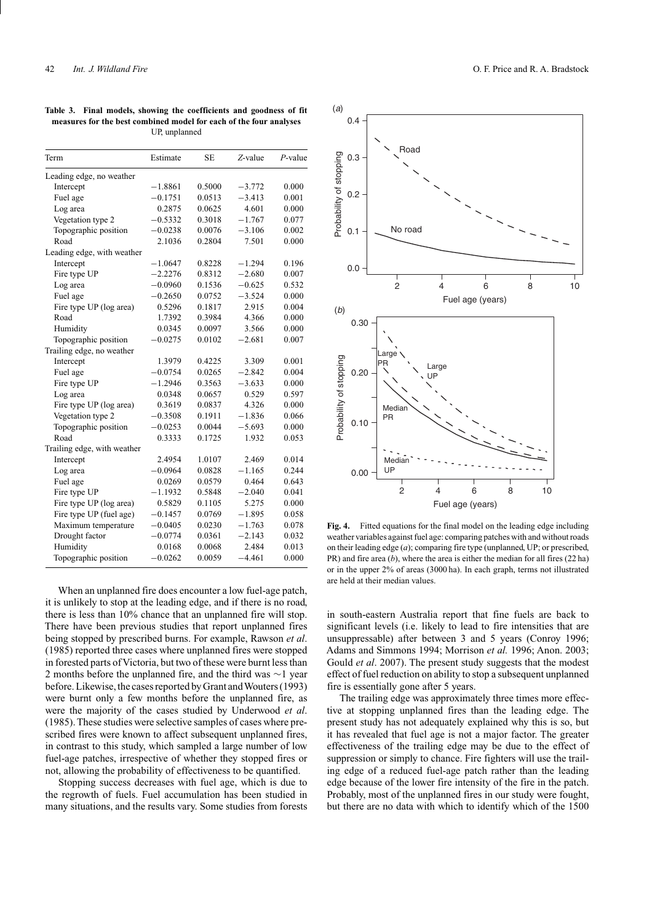**Table 3. Final models, showing the coefficients and goodness of fit measures for the best combined model for each of the four analyses** UP, unplanned

| Term                        | Estimate  | SE     | Z-value  | $P$ -value |
|-----------------------------|-----------|--------|----------|------------|
| Leading edge, no weather    |           |        |          |            |
| Intercept                   | $-1.8861$ | 0.5000 | $-3.772$ | 0.000      |
| Fuel age                    | $-0.1751$ | 0.0513 | $-3.413$ | 0.001      |
| Log area                    | 0.2875    | 0.0625 | 4.601    | 0.000      |
| Vegetation type 2           | $-0.5332$ | 0.3018 | $-1.767$ | 0.077      |
| Topographic position        | $-0.0238$ | 0.0076 | $-3.106$ | 0.002      |
| Road                        | 2.1036    | 0.2804 | 7.501    | 0.000      |
| Leading edge, with weather  |           |        |          |            |
| Intercept                   | $-1.0647$ | 0.8228 | $-1.294$ | 0.196      |
| Fire type UP                | $-2.2276$ | 0.8312 | $-2.680$ | 0.007      |
| Log area                    | $-0.0960$ | 0.1536 | $-0.625$ | 0.532      |
| Fuel age                    | $-0.2650$ | 0.0752 | $-3.524$ | 0.000      |
| Fire type UP (log area)     | 0.5296    | 0.1817 | 2.915    | 0.004      |
| Road                        | 1.7392    | 0.3984 | 4.366    | 0.000      |
| Humidity                    | 0.0345    | 0.0097 | 3.566    | 0.000      |
| Topographic position        | $-0.0275$ | 0.0102 | $-2.681$ | 0.007      |
| Trailing edge, no weather   |           |        |          |            |
| Intercept                   | 1.3979    | 0.4225 | 3.309    | 0.001      |
| Fuel age                    | $-0.0754$ | 0.0265 | $-2.842$ | 0.004      |
| Fire type UP                | $-1.2946$ | 0.3563 | $-3.633$ | 0.000      |
| Log area                    | 0.0348    | 0.0657 | 0.529    | 0.597      |
| Fire type UP (log area)     | 0.3619    | 0.0837 | 4.326    | 0.000      |
| Vegetation type 2           | $-0.3508$ | 0.1911 | $-1.836$ | 0.066      |
| Topographic position        | $-0.0253$ | 0.0044 | $-5.693$ | 0.000      |
| Road                        | 0.3333    | 0.1725 | 1.932    | 0.053      |
| Trailing edge, with weather |           |        |          |            |
| Intercept                   | 2.4954    | 1.0107 | 2.469    | 0.014      |
| Log area                    | $-0.0964$ | 0.0828 | $-1.165$ | 0.244      |
| Fuel age                    | 0.0269    | 0.0579 | 0.464    | 0.643      |
| Fire type UP                | $-1.1932$ | 0.5848 | $-2.040$ | 0.041      |
| Fire type UP (log area)     | 0.5829    | 0.1105 | 5.275    | 0.000      |
| Fire type UP (fuel age)     | $-0.1457$ | 0.0769 | $-1.895$ | 0.058      |
| Maximum temperature         | $-0.0405$ | 0.0230 | $-1.763$ | 0.078      |
| Drought factor              | $-0.0774$ | 0.0361 | $-2.143$ | 0.032      |
| Humidity                    | 0.0168    | 0.0068 | 2.484    | 0.013      |
| Topographic position        | $-0.0262$ | 0.0059 | $-4.461$ | 0.000      |

When an unplanned fire does encounter a low fuel-age patch, it is unlikely to stop at the leading edge, and if there is no road, there is less than 10% chance that an unplanned fire will stop. There have been previous studies that report unplanned fires being stopped by prescribed burns. For example, Rawson *et al*. (1985) reported three cases where unplanned fires were stopped in forested parts of Victoria, but two of these were burnt less than 2 months before the unplanned fire, and the third was ∼1 year before. Likewise, the cases reported by Grant andWouters (1993) were burnt only a few months before the unplanned fire, as were the majority of the cases studied by Underwood *et al*. (1985). These studies were selective samples of cases where prescribed fires were known to affect subsequent unplanned fires, in contrast to this study, which sampled a large number of low fuel-age patches, irrespective of whether they stopped fires or not, allowing the probability of effectiveness to be quantified.

Stopping success decreases with fuel age, which is due to the regrowth of fuels. Fuel accumulation has been studied in many situations, and the results vary. Some studies from forests



**Fig. 4.** Fitted equations for the final model on the leading edge including weather variables against fuel age: comparing patches with and without roads on their leading edge (*a*); comparing fire type (unplanned, UP; or prescribed, PR) and fire area (*b*), where the area is either the median for all fires (22 ha) or in the upper 2% of areas (3000 ha). In each graph, terms not illustrated are held at their median values.

in south-eastern Australia report that fine fuels are back to significant levels (i.e. likely to lead to fire intensities that are unsuppressable) after between 3 and 5 years (Conroy 1996; Adams and Simmons 1994; Morrison *et al.* 1996; Anon. 2003; Gould *et al*. 2007). The present study suggests that the modest effect of fuel reduction on ability to stop a subsequent unplanned fire is essentially gone after 5 years.

The trailing edge was approximately three times more effective at stopping unplanned fires than the leading edge. The present study has not adequately explained why this is so, but it has revealed that fuel age is not a major factor. The greater effectiveness of the trailing edge may be due to the effect of suppression or simply to chance. Fire fighters will use the trailing edge of a reduced fuel-age patch rather than the leading edge because of the lower fire intensity of the fire in the patch. Probably, most of the unplanned fires in our study were fought, but there are no data with which to identify which of the 1500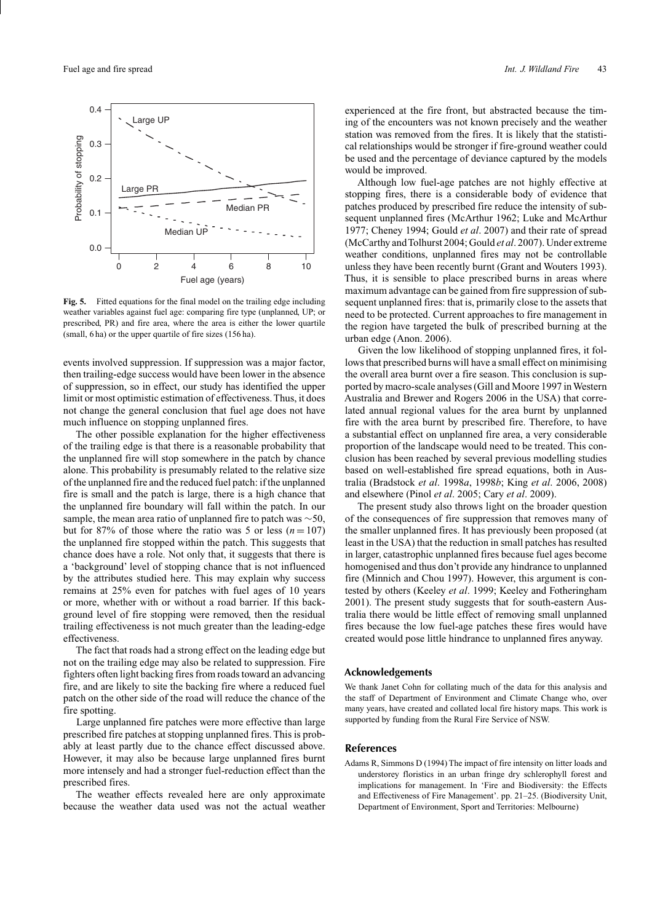

**Fig. 5.** Fitted equations for the final model on the trailing edge including weather variables against fuel age: comparing fire type (unplanned, UP; or prescribed, PR) and fire area, where the area is either the lower quartile (small, 6 ha) or the upper quartile of fire sizes (156 ha).

events involved suppression. If suppression was a major factor, then trailing-edge success would have been lower in the absence of suppression, so in effect, our study has identified the upper limit or most optimistic estimation of effectiveness. Thus, it does not change the general conclusion that fuel age does not have much influence on stopping unplanned fires.

The other possible explanation for the higher effectiveness of the trailing edge is that there is a reasonable probability that the unplanned fire will stop somewhere in the patch by chance alone. This probability is presumably related to the relative size of the unplanned fire and the reduced fuel patch: if the unplanned fire is small and the patch is large, there is a high chance that the unplanned fire boundary will fall within the patch. In our sample, the mean area ratio of unplanned fire to patch was  $\sim$ 50, but for 87% of those where the ratio was 5 or less  $(n = 107)$ the unplanned fire stopped within the patch. This suggests that chance does have a role. Not only that, it suggests that there is a 'background' level of stopping chance that is not influenced by the attributes studied here. This may explain why success remains at 25% even for patches with fuel ages of 10 years or more, whether with or without a road barrier. If this background level of fire stopping were removed, then the residual trailing effectiveness is not much greater than the leading-edge effectiveness.

The fact that roads had a strong effect on the leading edge but not on the trailing edge may also be related to suppression. Fire fighters often light backing fires from roads toward an advancing fire, and are likely to site the backing fire where a reduced fuel patch on the other side of the road will reduce the chance of the fire spotting.

Large unplanned fire patches were more effective than large prescribed fire patches at stopping unplanned fires. This is probably at least partly due to the chance effect discussed above. However, it may also be because large unplanned fires burnt more intensely and had a stronger fuel-reduction effect than the prescribed fires.

The weather effects revealed here are only approximate because the weather data used was not the actual weather

experienced at the fire front, but abstracted because the timing of the encounters was not known precisely and the weather station was removed from the fires. It is likely that the statistical relationships would be stronger if fire-ground weather could be used and the percentage of deviance captured by the models would be improved.

Although low fuel-age patches are not highly effective at stopping fires, there is a considerable body of evidence that patches produced by prescribed fire reduce the intensity of subsequent unplanned fires (McArthur 1962; Luke and McArthur 1977; Cheney 1994; Gould *et al*. 2007) and their rate of spread (McCarthy andTolhurst 2004; Gould *et al*. 2007). Under extreme weather conditions, unplanned fires may not be controllable unless they have been recently burnt (Grant and Wouters 1993). Thus, it is sensible to place prescribed burns in areas where maximum advantage can be gained from fire suppression of subsequent unplanned fires: that is, primarily close to the assets that need to be protected. Current approaches to fire management in the region have targeted the bulk of prescribed burning at the urban edge (Anon. 2006).

Given the low likelihood of stopping unplanned fires, it follows that prescribed burns will have a small effect on minimising the overall area burnt over a fire season. This conclusion is supported by macro-scale analyses (Gill and Moore 1997 in Western Australia and Brewer and Rogers 2006 in the USA) that correlated annual regional values for the area burnt by unplanned fire with the area burnt by prescribed fire. Therefore, to have a substantial effect on unplanned fire area, a very considerable proportion of the landscape would need to be treated. This conclusion has been reached by several previous modelling studies based on well-established fire spread equations, both in Australia (Bradstock *et al*. 1998*a*, 1998*b*; King *et al*. 2006, 2008) and elsewhere (Pinol *et al*. 2005; Cary *et al*. 2009).

The present study also throws light on the broader question of the consequences of fire suppression that removes many of the smaller unplanned fires. It has previously been proposed (at least in the USA) that the reduction in small patches has resulted in larger, catastrophic unplanned fires because fuel ages become homogenised and thus don't provide any hindrance to unplanned fire (Minnich and Chou 1997). However, this argument is contested by others (Keeley *et al*. 1999; Keeley and Fotheringham 2001). The present study suggests that for south-eastern Australia there would be little effect of removing small unplanned fires because the low fuel-age patches these fires would have created would pose little hindrance to unplanned fires anyway.

#### **Acknowledgements**

We thank Janet Cohn for collating much of the data for this analysis and the staff of Department of Environment and Climate Change who, over many years, have created and collated local fire history maps. This work is supported by funding from the Rural Fire Service of NSW.

#### **References**

Adams R, Simmons D (1994) The impact of fire intensity on litter loads and understorey floristics in an urban fringe dry schlerophyll forest and implications for management. In 'Fire and Biodiversity: the Effects and Effectiveness of Fire Management'. pp. 21–25. (Biodiversity Unit, Department of Environment, Sport and Territories: Melbourne)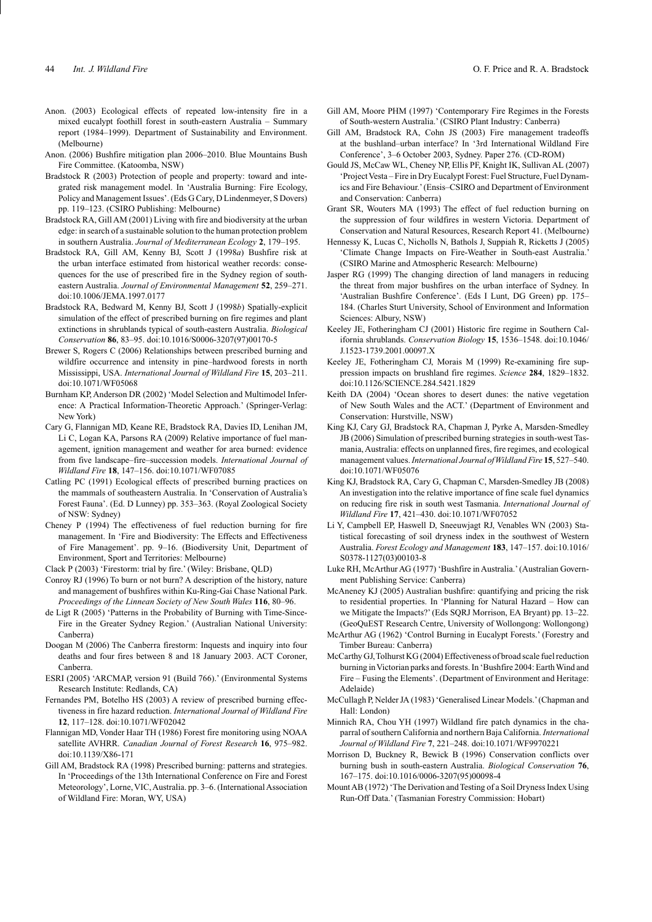- Anon. (2003) Ecological effects of repeated low-intensity fire in a mixed eucalypt foothill forest in south-eastern Australia – Summary report (1984–1999). Department of Sustainability and Environment. (Melbourne)
- Anon. (2006) Bushfire mitigation plan 2006–2010. Blue Mountains Bush Fire Committee. (Katoomba, NSW)
- Bradstock R (2003) Protection of people and property: toward and integrated risk management model. In 'Australia Burning: Fire Ecology, Policy and Management Issues'. (Eds G Cary, D Lindenmeyer, S Dovers) pp. 119–123. (CSIRO Publishing: Melbourne)
- Bradstock RA, Gill AM (2001) Living with fire and biodiversity at the urban edge: in search of a sustainable solution to the human protection problem in southern Australia. *Journal of Mediterranean Ecology* **2**, 179–195.
- Bradstock RA, Gill AM, Kenny BJ, Scott J (1998*a*) Bushfire risk at the urban interface estimated from historical weather records: consequences for the use of prescribed fire in the Sydney region of southeastern Australia. *Journal of Environmental Management* **52**, 259–271. doi:10.1006/JEMA.1997.0177
- Bradstock RA, Bedward M, Kenny BJ, Scott J (1998*b*) Spatially-explicit simulation of the effect of prescribed burning on fire regimes and plant extinctions in shrublands typical of south-eastern Australia. *Biological Conservation* **86**, 83–95. doi:10.1016/S0006-3207(97)00170-5
- Brewer S, Rogers C (2006) Relationships between prescribed burning and wildfire occurrence and intensity in pine–hardwood forests in north Mississippi, USA. *International Journal of Wildland Fire* **15**, 203–211. doi:10.1071/WF05068
- Burnham KP, Anderson DR (2002) 'Model Selection and Multimodel Inference: A Practical Information-Theoretic Approach.' (Springer-Verlag: New York)
- Cary G, Flannigan MD, Keane RE, Bradstock RA, Davies ID, Lenihan JM, Li C, Logan KA, Parsons RA (2009) Relative importance of fuel management, ignition management and weather for area burned: evidence from five landscape–fire–succession models. *International Journal of Wildland Fire* **18**, 147–156. doi:10.1071/WF07085
- Catling PC (1991) Ecological effects of prescribed burning practices on the mammals of southeastern Australia. In 'Conservation of Australia's Forest Fauna'. (Ed. D Lunney) pp. 353–363. (Royal Zoological Society of NSW: Sydney)
- Cheney P (1994) The effectiveness of fuel reduction burning for fire management. In 'Fire and Biodiversity: The Effects and Effectiveness of Fire Management'. pp. 9–16. (Biodiversity Unit, Department of Environment, Sport and Territories: Melbourne)
- Clack P (2003) 'Firestorm: trial by fire.' (Wiley: Brisbane, QLD)
- Conroy RJ (1996) To burn or not burn? A description of the history, nature and management of bushfires within Ku-Ring-Gai Chase National Park. *Proceedings of the Linnean Society of New South Wales* **116**, 80–96.
- de Ligt R (2005) 'Patterns in the Probability of Burning with Time-Since-Fire in the Greater Sydney Region.' (Australian National University: Canberra)
- Doogan M (2006) The Canberra firestorm: Inquests and inquiry into four deaths and four fires between 8 and 18 January 2003. ACT Coroner, Canberra.
- ESRI (2005) 'ARCMAP, version 91 (Build 766).' (Environmental Systems Research Institute: Redlands, CA)
- Fernandes PM, Botelho HS (2003) A review of prescribed burning effectiveness in fire hazard reduction. *International Journal of Wildland Fire* **12**, 117–128. doi:10.1071/WF02042
- Flannigan MD, Vonder Haar TH (1986) Forest fire monitoring using NOAA satellite AVHRR. *Canadian Journal of Forest Research* **16**, 975–982. doi:10.1139/X86-171
- Gill AM, Bradstock RA (1998) Prescribed burning: patterns and strategies. In 'Proceedings of the 13th International Conference on Fire and Forest Meteorology', Lorne, VIC, Australia. pp. 3–6. (International Association of Wildland Fire: Moran, WY, USA)
- Gill AM, Moore PHM (1997) 'Contemporary Fire Regimes in the Forests of South-western Australia.' (CSIRO Plant Industry: Canberra)
- Gill AM, Bradstock RA, Cohn JS (2003) Fire management tradeoffs at the bushland–urban interface? In '3rd International Wildland Fire Conference', 3–6 October 2003, Sydney. Paper 276. (CD-ROM)
- Gould JS, McCaw WL, Cheney NP, Ellis PF, Knight IK, Sullivan AL (2007) 'ProjectVesta – Fire in Dry Eucalypt Forest: Fuel Structure, Fuel Dynamics and Fire Behaviour.' (Ensis–CSIRO and Department of Environment and Conservation: Canberra)
- Grant SR, Wouters MA (1993) The effect of fuel reduction burning on the suppression of four wildfires in western Victoria. Department of Conservation and Natural Resources, Research Report 41. (Melbourne)
- Hennessy K, Lucas C, Nicholls N, Bathols J, Suppiah R, Ricketts J (2005) 'Climate Change Impacts on Fire-Weather in South-east Australia.' (CSIRO Marine and Atmospheric Research: Melbourne)
- Jasper RG (1999) The changing direction of land managers in reducing the threat from major bushfires on the urban interface of Sydney. In 'Australian Bushfire Conference'. (Eds I Lunt, DG Green) pp. 175– 184. (Charles Sturt University, School of Environment and Information Sciences: Albury, NSW)
- Keeley JE, Fotheringham CJ (2001) Historic fire regime in Southern California shrublands. *Conservation Biology* **15**, 1536–1548. doi:10.1046/ J.1523-1739.2001.00097.X
- Keeley JE, Fotheringham CJ, Morais M (1999) Re-examining fire suppression impacts on brushland fire regimes. *Science* **284**, 1829–1832. doi:10.1126/SCIENCE.284.5421.1829
- Keith DA (2004) 'Ocean shores to desert dunes: the native vegetation of New South Wales and the ACT.' (Department of Environment and Conservation: Hurstville, NSW)
- King KJ, Cary GJ, Bradstock RA, Chapman J, Pyrke A, Marsden-Smedley JB (2006) Simulation of prescribed burning strategies in south-west Tasmania, Australia: effects on unplanned fires, fire regimes, and ecological management values.*International Journal ofWildland Fire* **15**, 527–540. doi:10.1071/WF05076
- King KJ, Bradstock RA, Cary G, Chapman C, Marsden-Smedley JB (2008) An investigation into the relative importance of fine scale fuel dynamics on reducing fire risk in south west Tasmania. *International Journal of Wildland Fire* **17**, 421–430. doi:10.1071/WF07052
- Li Y, Campbell EP, Haswell D, Sneeuwjagt RJ, Venables WN (2003) Statistical forecasting of soil dryness index in the southwest of Western Australia. *Forest Ecology and Management* **183**, 147–157. doi:10.1016/ S0378-1127(03)00103-8
- Luke RH, McArthur AG (1977) 'Bushfire in Australia.' (Australian Government Publishing Service: Canberra)
- McAneney KJ (2005) Australian bushfire: quantifying and pricing the risk to residential properties. In 'Planning for Natural Hazard – How can we Mitigate the Impacts?' (Eds SQRJ Morrison, EA Bryant) pp. 13–22. (GeoQuEST Research Centre, University of Wollongong: Wollongong)
- McArthur AG (1962) 'Control Burning in Eucalypt Forests.' (Forestry and Timber Bureau: Canberra)
- McCarthy GJ,Tolhurst KG (2004) Effectiveness of broad scale fuel reduction burning in Victorian parks and forests. In 'Bushfire 2004: Earth Wind and Fire – Fusing the Elements'. (Department of Environment and Heritage: Adelaide)
- McCullagh P, Nelder JA (1983) 'Generalised Linear Models.'(Chapman and Hall: London)
- Minnich RA, Chou YH (1997) Wildland fire patch dynamics in the chaparral of southern California and northern Baja California. *International Journal of Wildland Fire* **7**, 221–248. doi:10.1071/WF9970221
- Morrison D, Buckney R, Bewick B (1996) Conservation conflicts over burning bush in south-eastern Australia. *Biological Conservation* **76**, 167–175. doi:10.1016/0006-3207(95)00098-4
- Mount AB (1972) 'The Derivation and Testing of a Soil Dryness Index Using Run-Off Data.' (Tasmanian Forestry Commission: Hobart)